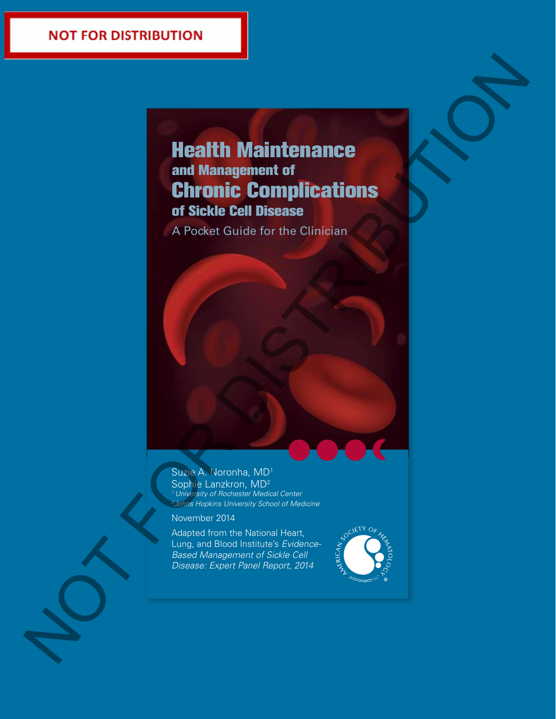# Health Maintenance and Management of Chronic Complications of Sickle Cell Disease Health Maintenance<br>
Enhorite Complications<br>
of Sickle Cell Disease<br>
A Pocket Guide for the Clindian<br>
A Pocket Guide for the Clindian<br>
A Regression<br>
A Regression<br>
Maria Line of the Clindian<br>
Maria Line of the Clindian<br>
Mari

A Pocket Guide for the Clinician

Suzie A. Noronha, MD1 Sophie Lanzkron, MD<sup>2</sup> *1 University of Rochester Medical Center 2 Johns Hopkins University School of Medicine*

November 2014

Adapted from the National Heart, Lung, and Blood Institute's *Evidence-Based Management of Sickle Cell Disease: Expert Panel Report, 2014*

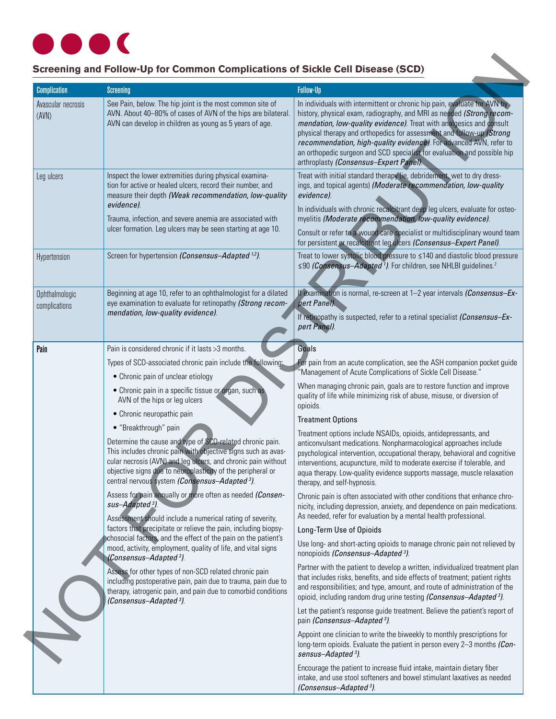# $\blacksquare$

# **Screening and Follow-Up for Common Complications of Sickle Cell Disease (SCD)**

| <b>Complication</b>             | <b>Screening</b>                                                                                                                                                                                                                                                                                                        | <b>Follow-Up</b>                                                                                                                                                                                                                                                                                                                                                                                                                                                                               |
|---------------------------------|-------------------------------------------------------------------------------------------------------------------------------------------------------------------------------------------------------------------------------------------------------------------------------------------------------------------------|------------------------------------------------------------------------------------------------------------------------------------------------------------------------------------------------------------------------------------------------------------------------------------------------------------------------------------------------------------------------------------------------------------------------------------------------------------------------------------------------|
| Avascular necrosis<br>(AVN)     | See Pain, below. The hip joint is the most common site of<br>AVN. About 40-80% of cases of AVN of the hips are bilateral.<br>AVN can develop in children as young as 5 years of age.                                                                                                                                    | In individuals with intermittent or chronic hip pain, evaluate for AVN by<br>history, physical exam, radiography, and MRI as needed (Strong recom-<br>mendation, low-quality evidence). Treat with analgesics and consult<br>physical therapy and orthopedics for assessment and follow-up (Strong<br>recommendation, high-quality evidence). For advanced AVN, refer to<br>an orthopedic surgeon and SCD specialist for evaluation and possible hip<br>arthroplasty (Consensus-Expert Panel). |
| Leg ulcers                      | Inspect the lower extremities during physical examina-<br>tion for active or healed ulcers, record their number, and<br>measure their depth (Weak recommendation, low-quality<br>evidence).<br>Trauma, infection, and severe anemia are associated with<br>ulcer formation. Leg ulcers may be seen starting at age 10.  | Treat with initial standard therapy (ie, debridement, wet to dry dress-<br>ings, and topical agents) (Moderate recommendation, low-quality<br>evidence).<br>In individuals with chronic recalcitrant deep leg ulcers, evaluate for osteo-<br>myelitis (Moderate recommendation, low-quality evidence).<br>Consult or refer to a wound care specialist or multidisciplinary wound team<br>for persistent or recalcitrant leg ulcers (Consensus-Expert Panel).                                   |
| Hypertension                    | Screen for hypertension (Consensus-Adapted <sup>1,2</sup> ).                                                                                                                                                                                                                                                            | Treat to lower systolic blood pressure to ≤140 and diastolic blood pressure<br>≤90 (Consensus-Adapted <sup>1</sup> ). For children, see NHLBI guidelines. <sup>2</sup>                                                                                                                                                                                                                                                                                                                         |
| Ophthalmologic<br>complications | Beginning at age 10, refer to an ophthalmologist for a dilated<br>eye examination to evaluate for retinopathy (Strong recom-<br>mendation, low-quality evidence).                                                                                                                                                       | If examination is normal, re-screen at 1-2 year intervals (Consensus-Ex-<br>pert Panel).<br>If retinopathy is suspected, refer to a retinal specialist (Consensus-Ex-<br>pert Panel).                                                                                                                                                                                                                                                                                                          |
| Pain                            | Pain is considered chronic if it lasts >3 months.                                                                                                                                                                                                                                                                       | Goals                                                                                                                                                                                                                                                                                                                                                                                                                                                                                          |
|                                 | Types of SCD-associated chronic pain include the following:<br>• Chronic pain of unclear etiology                                                                                                                                                                                                                       | For pain from an acute complication, see the ASH companion pocket guide<br>'Management of Acute Complications of Sickle Cell Disease."<br>When managing chronic pain, goals are to restore function and improve                                                                                                                                                                                                                                                                                |
|                                 | • Chronic pain in a specific tissue or organ, such as<br>AVN of the hips or leg ulcers                                                                                                                                                                                                                                  | quality of life while minimizing risk of abuse, misuse, or diversion of<br>opioids.                                                                                                                                                                                                                                                                                                                                                                                                            |
|                                 | • Chronic neuropathic pain<br>• "Breakthrough" pain                                                                                                                                                                                                                                                                     | <b>Treatment Options</b>                                                                                                                                                                                                                                                                                                                                                                                                                                                                       |
|                                 | Determine the cause and type of SCD-related chronic pain.<br>This includes chronic pain with objective signs such as avas-<br>cular necrosis (AVN) and leg ulcers, and chronic pain without<br>objective signs due to neuroplasticity of the peripheral or<br>central nervous system (Consensus-Adapted <sup>3</sup> ). | Treatment options include NSAIDs, opioids, antidepressants, and<br>anticonvulsant medications. Nonpharmacological approaches include<br>psychological intervention, occupational therapy, behavioral and cognitive<br>interventions, acupuncture, mild to moderate exercise if tolerable, and<br>aqua therapy. Low-quality evidence supports massage, muscle relaxation<br>therapy, and self-hypnosis.                                                                                         |
|                                 | Assess for pain annually or more often as needed (Consen-<br>sus-Adapted <sup>3</sup> ).<br>Assessment should include a numerical rating of severity,                                                                                                                                                                   | Chronic pain is often associated with other conditions that enhance chro-<br>nicity, including depression, anxiety, and dependence on pain medications.<br>As needed, refer for evaluation by a mental health professional.                                                                                                                                                                                                                                                                    |
|                                 | factors that precipitate or relieve the pain, including biopsy-<br>chosocial factors, and the effect of the pain on the patient's                                                                                                                                                                                       | Long-Term Use of Opioids                                                                                                                                                                                                                                                                                                                                                                                                                                                                       |
|                                 | mood, activity, employment, quality of life, and vital signs<br>(Consensus-Adapted <sup>3</sup> ).                                                                                                                                                                                                                      | Use long- and short-acting opioids to manage chronic pain not relieved by<br>nonopioids (Consensus-Adapted <sup>3</sup> ).                                                                                                                                                                                                                                                                                                                                                                     |
|                                 | Assess for other types of non-SCD related chronic pain<br>including postoperative pain, pain due to trauma, pain due to<br>therapy, iatrogenic pain, and pain due to comorbid conditions<br>(Consensus-Adapted <sup>3</sup> ).                                                                                          | Partner with the patient to develop a written, individualized treatment plan<br>that includes risks, benefits, and side effects of treatment; patient rights<br>and responsibilities; and type, amount, and route of administration of the<br>opioid, including random drug urine testing (Consensus-Adapted <sup>3</sup> ).                                                                                                                                                                   |
|                                 |                                                                                                                                                                                                                                                                                                                         | Let the patient's response guide treatment. Believe the patient's report of<br>pain (Consensus-Adapted <sup>3</sup> ).                                                                                                                                                                                                                                                                                                                                                                         |
|                                 |                                                                                                                                                                                                                                                                                                                         | Appoint one clinician to write the biweekly to monthly prescriptions for<br>long-term opioids. Evaluate the patient in person every 2-3 months (Con-<br>sensus-Adapted <sup>3</sup> ).                                                                                                                                                                                                                                                                                                         |
|                                 |                                                                                                                                                                                                                                                                                                                         | Encourage the patient to increase fluid intake, maintain dietary fiber<br>intake, and use stool softeners and bowel stimulant laxatives as needed<br>(Consensus-Adapted <sup>3</sup> ).                                                                                                                                                                                                                                                                                                        |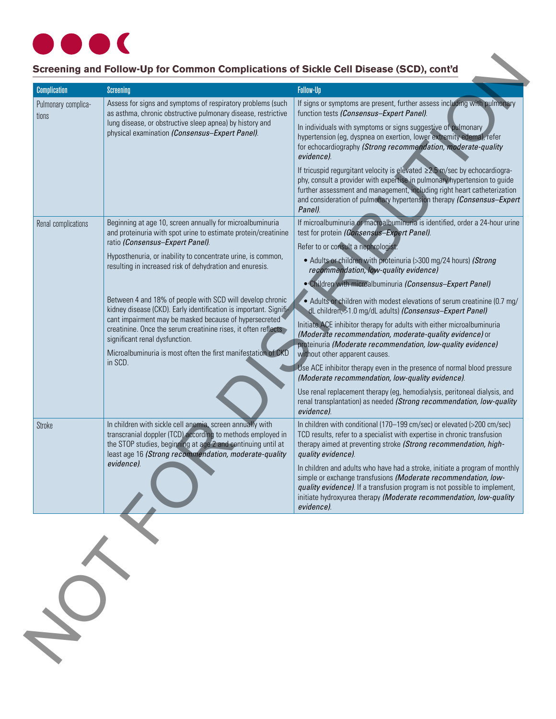

# **Screening and Follow-Up for Common Complications of Sickle Cell Disease (SCD), cont'd**

| <b>Complication</b>          | <b>Screening</b>                                                                                                                                                                                                                                                                                                                                                         | <b>Follow-Up</b>                                                                                                                                                                                                                                                                                                                              |
|------------------------------|--------------------------------------------------------------------------------------------------------------------------------------------------------------------------------------------------------------------------------------------------------------------------------------------------------------------------------------------------------------------------|-----------------------------------------------------------------------------------------------------------------------------------------------------------------------------------------------------------------------------------------------------------------------------------------------------------------------------------------------|
| Pulmonary complica-<br>tions | Assess for signs and symptoms of respiratory problems (such<br>as asthma, chronic obstructive pulmonary disease, restrictive<br>lung disease, or obstructive sleep apnea) by history and<br>physical examination (Consensus-Expert Panel).                                                                                                                               | If signs or symptoms are present, further assess including with pulmonary<br>function tests (Consensus-Expert Panel).<br>In individuals with symptoms or signs suggestive of pulmonary<br>hypertension (eg, dyspnea on exertion, lower extremity edema), refer<br>for echocardiography (Strong recommendation, moderate-quality<br>evidence). |
|                              |                                                                                                                                                                                                                                                                                                                                                                          | If tricuspid regurgitant velocity is elevated ≥2.5 m/sec by echocardiogra-<br>phy, consult a provider with expertise in pulmonary hypertension to guide<br>further assessment and management, including right heart catheterization<br>and consideration of pulmonary hypertension therapy (Consensus-Expert<br>Panel).                       |
| Renal complications          | Beginning at age 10, screen annually for microalbuminuria<br>and proteinuria with spot urine to estimate protein/creatinine<br>ratio (Consensus-Expert Panel).                                                                                                                                                                                                           | If microalbuminuria or macroalbuminuria is identified, order a 24-hour urine<br>test for protein (Consensus-Expert Panel).<br>Refer to or consult a nephrologist.                                                                                                                                                                             |
|                              | Hyposthenuria, or inability to concentrate urine, is common,<br>resulting in increased risk of dehydration and enuresis.                                                                                                                                                                                                                                                 | • Adults or children with proteinuria (>300 mg/24 hours) (Strong<br>recommendation, low-quality evidence)                                                                                                                                                                                                                                     |
|                              | Between 4 and 18% of people with SCD will develop chronic<br>kidney disease (CKD). Early identification is important. Signifi-<br>cant impairment may be masked because of hypersecreted<br>creatinine. Once the serum creatinine rises, it often reflects<br>significant renal dysfunction.<br>Microalbuminuria is most often the first manifestation of CKD<br>in SCD. | • Children with microalbuminuria (Consensus-Expert Panel)<br>• Adults or children with modest elevations of serum creatinine (0.7 mg/<br>dL children, >1.0 mg/dL adults) (Consensus-Expert Panel)                                                                                                                                             |
|                              |                                                                                                                                                                                                                                                                                                                                                                          | Initiate ACE inhibitor therapy for adults with either microalbuminuria<br>(Moderate recommendation, moderate-quality evidence) or<br>proteinuria (Moderate recommendation, low-quality evidence)                                                                                                                                              |
|                              |                                                                                                                                                                                                                                                                                                                                                                          | without other apparent causes.<br>Use ACE inhibitor therapy even in the presence of normal blood pressure<br>(Moderate recommendation, low-quality evidence).                                                                                                                                                                                 |
|                              |                                                                                                                                                                                                                                                                                                                                                                          | Use renal replacement therapy (eg, hemodialysis, peritoneal dialysis, and<br>renal transplantation) as needed (Strong recommendation, low-quality<br>evidence).                                                                                                                                                                               |
| Stroke                       | In children with sickle cell anemia, screen annually with<br>transcranial doppler (TCD) according to methods employed in<br>the STOP studies, beginning at age 2 and continuing until at<br>least age 16 (Strong recommendation, moderate-quality                                                                                                                        | In children with conditional (170-199 cm/sec) or elevated (>200 cm/sec)<br>TCD results, refer to a specialist with expertise in chronic transfusion<br>therapy aimed at preventing stroke (Strong recommendation, high-<br>quality evidence).                                                                                                 |
|                              | evidence).                                                                                                                                                                                                                                                                                                                                                               | In children and adults who have had a stroke, initiate a program of monthly<br>simple or exchange transfusions (Moderate recommendation, low-<br>quality evidence). If a transfusion program is not possible to implement,<br>initiate hydroxyurea therapy (Moderate recommendation, low-quality<br>evidence).                                |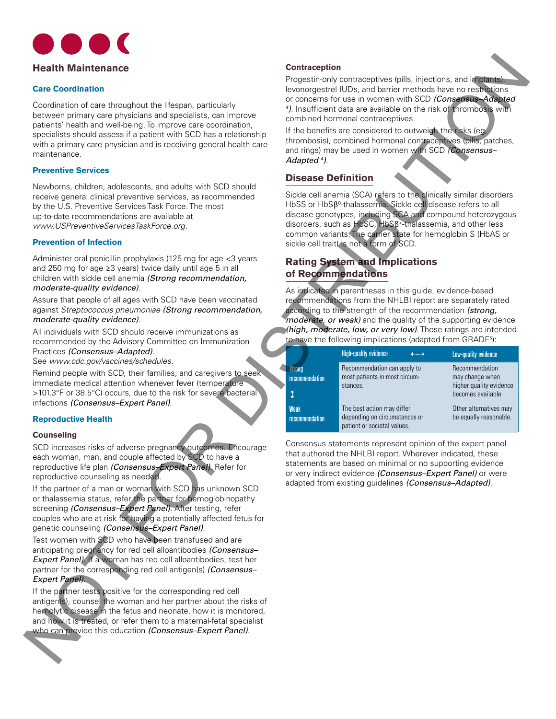

#### **Care Coordination**

#### **Preventive Services**

#### **Prevention of Infection**

#### **Reproductive Health**

#### **Counseling**

#### **Contraception**

## **Disease Definition**

# **Rating System and Implications of Recommendations**

| <b>Health Maintenance</b>                                                                                                                                                                                                                                                                                                                                                                                                                                                                                                                  | <b>Contraception</b>                                                                                                                                                                                                                                                                                                                                                                                                                                                |  |
|--------------------------------------------------------------------------------------------------------------------------------------------------------------------------------------------------------------------------------------------------------------------------------------------------------------------------------------------------------------------------------------------------------------------------------------------------------------------------------------------------------------------------------------------|---------------------------------------------------------------------------------------------------------------------------------------------------------------------------------------------------------------------------------------------------------------------------------------------------------------------------------------------------------------------------------------------------------------------------------------------------------------------|--|
| <b>Care Coordination</b><br>Coordination of care throughout the lifespan, particularly<br>between primary care physicians and specialists, can improve                                                                                                                                                                                                                                                                                                                                                                                     | Progestin-only contraceptives (pills, injections, and implants),<br>levonorgestrel IUDs, and barrier methods have no restrictions<br>or concerns for use in women with SCD (Consensus-Adapted<br>4). Insufficient data are available on the risk of thrombosis with<br>combined hormonal contraceptives.                                                                                                                                                            |  |
| patients' health and well-being. To improve care coordination,<br>specialists should assess if a patient with SCD has a relationship<br>with a primary care physician and is receiving general health-care<br>maintenance.                                                                                                                                                                                                                                                                                                                 | If the benefits are considered to outweigh the risks (eg,<br>thrombosis), combined hormonal contraceptives (pills, patches,<br>and rings) may be used in women with SCD (Consensus-<br>Adapted <sup>4</sup> ).                                                                                                                                                                                                                                                      |  |
| <b>Preventive Services</b>                                                                                                                                                                                                                                                                                                                                                                                                                                                                                                                 | <b>Disease Definition</b>                                                                                                                                                                                                                                                                                                                                                                                                                                           |  |
| Newborns, children, adolescents, and adults with SCD should<br>receive general clinical preventive services, as recommended<br>by the U.S. Preventive Services Task Force. The most<br>up-to-date recommendations are available at<br>www.USPreventiveServicesTaskForce.org.                                                                                                                                                                                                                                                               | Sickle cell anemia (SCA) refers to the clinically similar disorders<br>HbSS or HbSß <sup>0</sup> -thalassemia. Sickle cell disease refers to all<br>disease genotypes, including SCA and compound heterozygous<br>disorders, such as HbSC, HbSB <sup>+-thalassemia, and other less</sup><br>common variants. The carrier state for hemoglobin S (HbAS or<br>sickle cell trait) is not a form of SCD.<br><b>Rating System and Implications</b><br>of Recommendations |  |
| <b>Prevention of Infection</b>                                                                                                                                                                                                                                                                                                                                                                                                                                                                                                             |                                                                                                                                                                                                                                                                                                                                                                                                                                                                     |  |
| Administer oral penicillin prophylaxis (125 mg for age <3 years<br>and 250 mg for age ≥3 years) twice daily until age 5 in all<br>children with sickle cell anemia (Strong recommendation,<br>moderate-quality evidence).                                                                                                                                                                                                                                                                                                                  |                                                                                                                                                                                                                                                                                                                                                                                                                                                                     |  |
| Assure that people of all ages with SCD have been vaccinated<br>against Streptococcus pneumoniae (Strong recommendation,<br>moderate-quality evidence).                                                                                                                                                                                                                                                                                                                                                                                    | As indicated in parentheses in this guide, evidence-based<br>recommendations from the NHLBI report are separately rated<br>according to the strength of the recommendation (strong,<br>moderate, or weak) and the quality of the supporting evidence                                                                                                                                                                                                                |  |
| All individuals with SCD should receive immunizations as                                                                                                                                                                                                                                                                                                                                                                                                                                                                                   | (high, moderate, low, or very low). These ratings are intended<br>to have the following implications (adapted from GRADE <sup>5</sup> ):                                                                                                                                                                                                                                                                                                                            |  |
| recommended by the Advisory Committee on Immunization<br>Practices (Consensus-Adapted).<br>See www.cdc.gov/vaccines/schedules.                                                                                                                                                                                                                                                                                                                                                                                                             | <b>High-quality evidence</b><br>$\leftarrow$<br>Low-quality evidence                                                                                                                                                                                                                                                                                                                                                                                                |  |
| Remind people with SCD, their families, and caregivers to seek<br>immediate medical attention whenever fever (temperature<br>>101.3°F or 38.5°C) occurs, due to the risk for severe bacterial<br>infections (Consensus-Expert Panel).                                                                                                                                                                                                                                                                                                      | Recommendation<br>Recommendation can apply to<br>Strang<br>most patients in most circum-<br>may change when<br>recommendation<br>higher quality evidence<br>stances.<br>becomes available.<br>ţ                                                                                                                                                                                                                                                                     |  |
| <b>Reproductive Health</b>                                                                                                                                                                                                                                                                                                                                                                                                                                                                                                                 | The best action may differ<br>Other alternatives may<br><b>Weak</b><br>depending on circumstances or<br>be equally reasonable.<br>recommendation<br>patient or societal values.                                                                                                                                                                                                                                                                                     |  |
| <b>Counseling</b>                                                                                                                                                                                                                                                                                                                                                                                                                                                                                                                          |                                                                                                                                                                                                                                                                                                                                                                                                                                                                     |  |
| SCD increases risks of adverse pregnancy outcomes. Encourage<br>each woman, man, and couple affected by SCD to have a<br>reproductive life plan (Consensus-Expert Panel). Refer for<br>reproductive counseling as needed.<br>If the partner of a man or woman with SCD has unknown SCD<br>or thalassemia status, refer the partner for hemoglobinopathy<br>screening (Consensus-Expert Panel). After testing, refer<br>couples who are at risk for having a potentially affected fetus for<br>genetic counseling (Consensus-Expert Panel). | Consensus statements represent opinion of the expert panel<br>that authored the NHLBI report. Wherever indicated, these<br>statements are based on minimal or no supporting evidence<br>or very indirect evidence (Consensus-Expert Panel) or were<br>adapted from existing guidelines (Consensus-Adapted).                                                                                                                                                         |  |
| Test women with SCD who have been transfused and are<br>anticipating pregnancy for red cell alloantibodies (Consensus-<br><b>Expert Panel).</b> If a woman has red cell alloantibodies, test her<br>partner for the corresponding red cell antigen(s) (Consensus-<br>Expert Panel).                                                                                                                                                                                                                                                        |                                                                                                                                                                                                                                                                                                                                                                                                                                                                     |  |
| If the partner tests positive for the corresponding red cell<br>antigen(s), counsel the woman and her partner about the risks of<br>hemolytic disease in the fetus and neonate, how it is monitored,<br>and how it is treated, or refer them to a maternal-fetal specialist<br>who can provide this education (Consensus-Expert Panel).                                                                                                                                                                                                    |                                                                                                                                                                                                                                                                                                                                                                                                                                                                     |  |
|                                                                                                                                                                                                                                                                                                                                                                                                                                                                                                                                            |                                                                                                                                                                                                                                                                                                                                                                                                                                                                     |  |